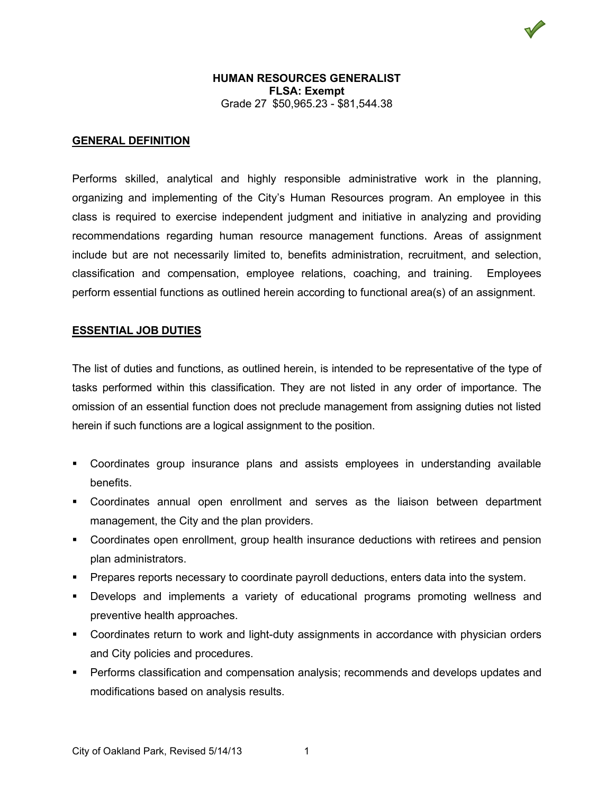# **GENERAL DEFINITION**

Performs skilled, analytical and highly responsible administrative work in the planning, organizing and implementing of the City's Human Resources program. An employee in this class is required to exercise independent judgment and initiative in analyzing and providing recommendations regarding human resource management functions. Areas of assignment include but are not necessarily limited to, benefits administration, recruitment, and selection, classification and compensation, employee relations, coaching, and training. Employees perform essential functions as outlined herein according to functional area(s) of an assignment.

# **ESSENTIAL JOB DUTIES**

The list of duties and functions, as outlined herein, is intended to be representative of the type of tasks performed within this classification. They are not listed in any order of importance. The omission of an essential function does not preclude management from assigning duties not listed herein if such functions are a logical assignment to the position.

- Coordinates group insurance plans and assists employees in understanding available benefits.
- Coordinates annual open enrollment and serves as the liaison between department management, the City and the plan providers.
- **•** Coordinates open enrollment, group health insurance deductions with retirees and pension plan administrators.
- **Prepares reports necessary to coordinate payroll deductions, enters data into the system.**
- Develops and implements a variety of educational programs promoting wellness and preventive health approaches.
- Coordinates return to work and light-duty assignments in accordance with physician orders and City policies and procedures.
- Performs classification and compensation analysis; recommends and develops updates and modifications based on analysis results.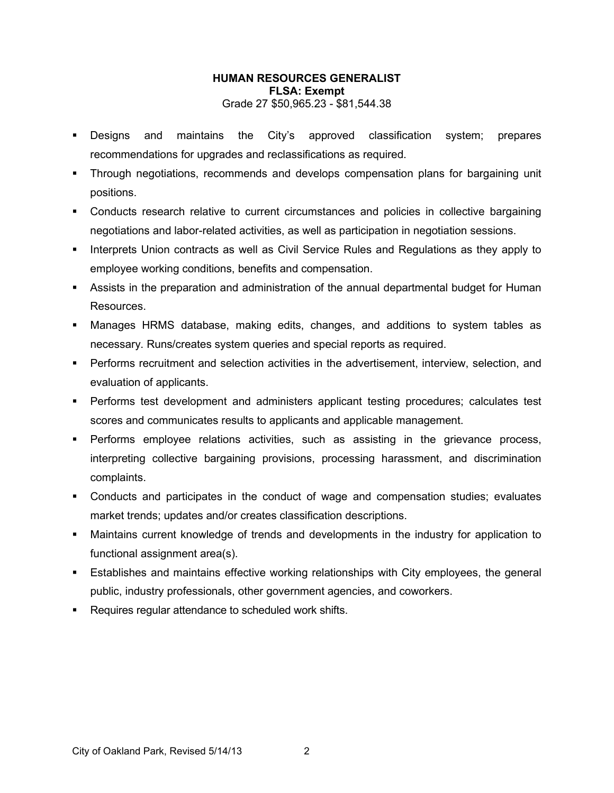- Designs and maintains the City's approved classification system; prepares recommendations for upgrades and reclassifications as required.
- Through negotiations, recommends and develops compensation plans for bargaining unit positions.
- Conducts research relative to current circumstances and policies in collective bargaining negotiations and labor-related activities, as well as participation in negotiation sessions.
- **Interprets Union contracts as well as Civil Service Rules and Regulations as they apply to** employee working conditions, benefits and compensation.
- Assists in the preparation and administration of the annual departmental budget for Human Resources.
- Manages HRMS database, making edits, changes, and additions to system tables as necessary. Runs/creates system queries and special reports as required.
- **Performs recruitment and selection activities in the advertisement, interview, selection, and** evaluation of applicants.
- Performs test development and administers applicant testing procedures; calculates test scores and communicates results to applicants and applicable management.
- Performs employee relations activities, such as assisting in the grievance process, interpreting collective bargaining provisions, processing harassment, and discrimination complaints.
- Conducts and participates in the conduct of wage and compensation studies; evaluates market trends; updates and/or creates classification descriptions.
- Maintains current knowledge of trends and developments in the industry for application to functional assignment area(s).
- Establishes and maintains effective working relationships with City employees, the general public, industry professionals, other government agencies, and coworkers.
- Requires regular attendance to scheduled work shifts.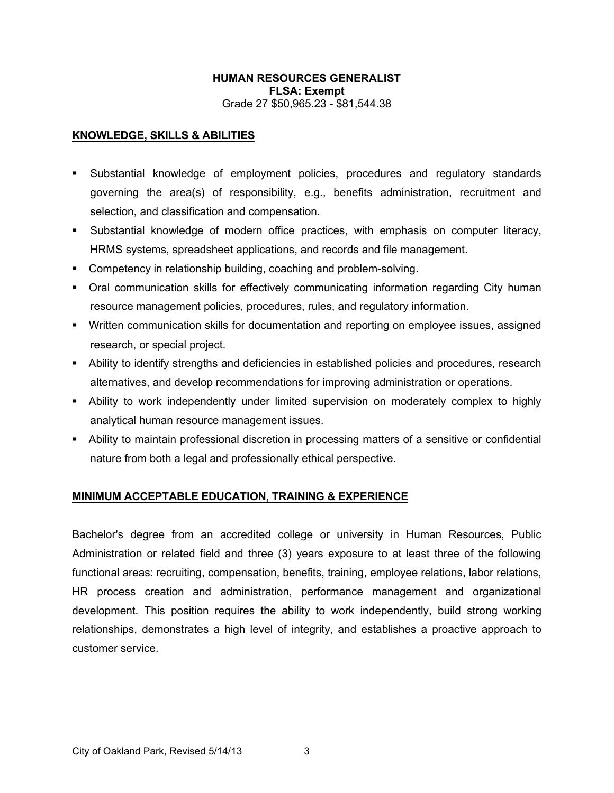#### **KNOWLEDGE, SKILLS & ABILITIES**

- Substantial knowledge of employment policies, procedures and regulatory standards governing the area(s) of responsibility, e.g., benefits administration, recruitment and selection, and classification and compensation.
- Substantial knowledge of modern office practices, with emphasis on computer literacy, HRMS systems, spreadsheet applications, and records and file management.
- **Competency in relationship building, coaching and problem-solving.**
- Oral communication skills for effectively communicating information regarding City human resource management policies, procedures, rules, and regulatory information.
- Written communication skills for documentation and reporting on employee issues, assigned research, or special project.
- Ability to identify strengths and deficiencies in established policies and procedures, research alternatives, and develop recommendations for improving administration or operations.
- Ability to work independently under limited supervision on moderately complex to highly analytical human resource management issues.
- Ability to maintain professional discretion in processing matters of a sensitive or confidential nature from both a legal and professionally ethical perspective.

# **MINIMUM ACCEPTABLE EDUCATION, TRAINING & EXPERIENCE**

Bachelor's degree from an accredited college or university in Human Resources, Public Administration or related field and three (3) years exposure to at least three of the following functional areas: recruiting, compensation, benefits, training, employee relations, labor relations, HR process creation and administration, performance management and organizational development. This position requires the ability to work independently, build strong working relationships, demonstrates a high level of integrity, and establishes a proactive approach to customer service.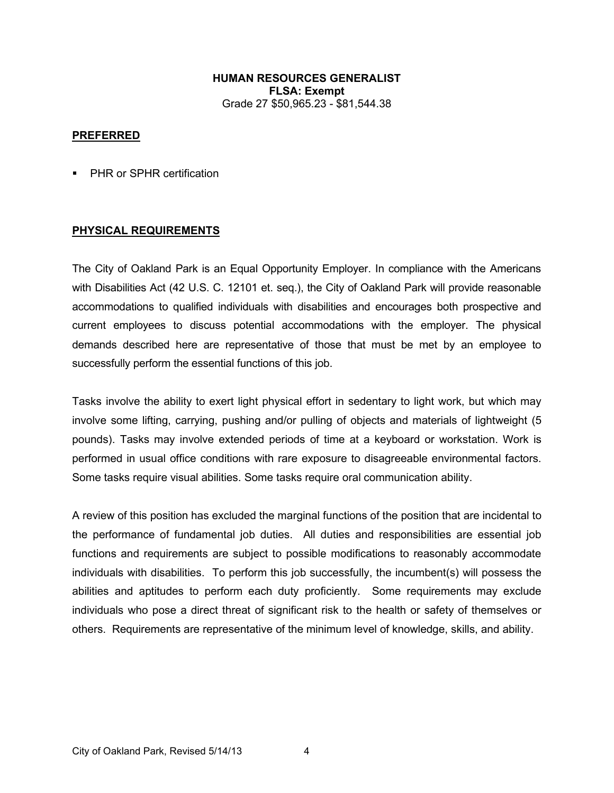#### **PREFERRED**

**PHR or SPHR certification** 

#### **PHYSICAL REQUIREMENTS**

The City of Oakland Park is an Equal Opportunity Employer. In compliance with the Americans with Disabilities Act (42 U.S. C. 12101 et. seq.), the City of Oakland Park will provide reasonable accommodations to qualified individuals with disabilities and encourages both prospective and current employees to discuss potential accommodations with the employer. The physical demands described here are representative of those that must be met by an employee to successfully perform the essential functions of this job.

Tasks involve the ability to exert light physical effort in sedentary to light work, but which may involve some lifting, carrying, pushing and/or pulling of objects and materials of lightweight (5 pounds). Tasks may involve extended periods of time at a keyboard or workstation. Work is performed in usual office conditions with rare exposure to disagreeable environmental factors. Some tasks require visual abilities. Some tasks require oral communication ability.

A review of this position has excluded the marginal functions of the position that are incidental to the performance of fundamental job duties. All duties and responsibilities are essential job functions and requirements are subject to possible modifications to reasonably accommodate individuals with disabilities. To perform this job successfully, the incumbent(s) will possess the abilities and aptitudes to perform each duty proficiently. Some requirements may exclude individuals who pose a direct threat of significant risk to the health or safety of themselves or others. Requirements are representative of the minimum level of knowledge, skills, and ability.